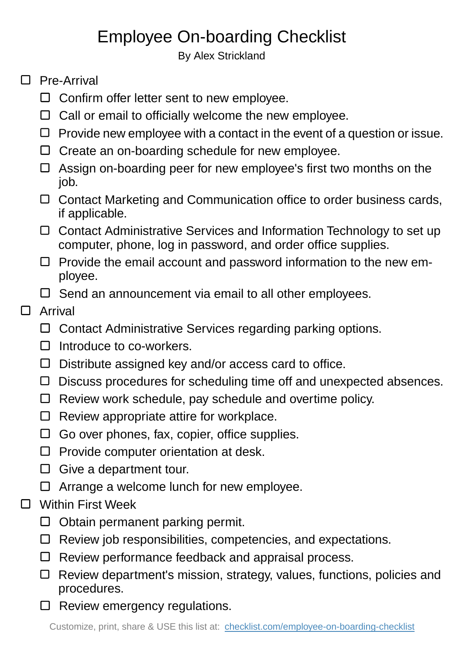## Employee On-boarding Checklist

By Alex Strickland

## □ Pre-Arrival

- $\Box$  Confirm offer letter sent to new employee.
- $\Box$  Call or email to officially welcome the new employee.
- $\Box$  Provide new employee with a contact in the event of a question or issue.
- $\Box$  Create an on-boarding schedule for new employee.
- $\Box$  Assign on-boarding peer for new employee's first two months on the job.
- $\Box$  Contact Marketing and Communication office to order business cards, if applicable.
- □ Contact Administrative Services and Information Technology to set up computer, phone, log in password, and order office supplies.
- $\Box$  Provide the email account and password information to the new employee.
- $\Box$  Send an announcement via email to all other employees.

## $\Box$ Arrival

- □ Contact Administrative Services regarding parking options.
- $\Box$  Introduce to co-workers.
- $\Box$  Distribute assigned key and/or access card to office.
- $\Box$  Discuss procedures for scheduling time off and unexpected absences.
- $\Box$  Review work schedule, pay schedule and overtime policy.
- $\Box$  Review appropriate attire for workplace.
- $\Box$  Go over phones, fax, copier, office supplies.
- $\square$  Provide computer orientation at desk.
- $\Box$  Give a department tour.
- $\Box$  Arrange a welcome lunch for new employee.
- $\Box$ Within First Week
	- $\Box$  Obtain permanent parking permit.
	- $\Box$  Review job responsibilities, competencies, and expectations.
	- $\Box$  Review performance feedback and appraisal process.
	- $\Box$  Review department's mission, strategy, values, functions, policies and procedures.
	- $\Box$  Review emergency regulations.

Customize, print, share & USE this list at: [checklist.com/employee-on-boarding-checklist](https://checklist.com/employee-on-boarding-checklist)